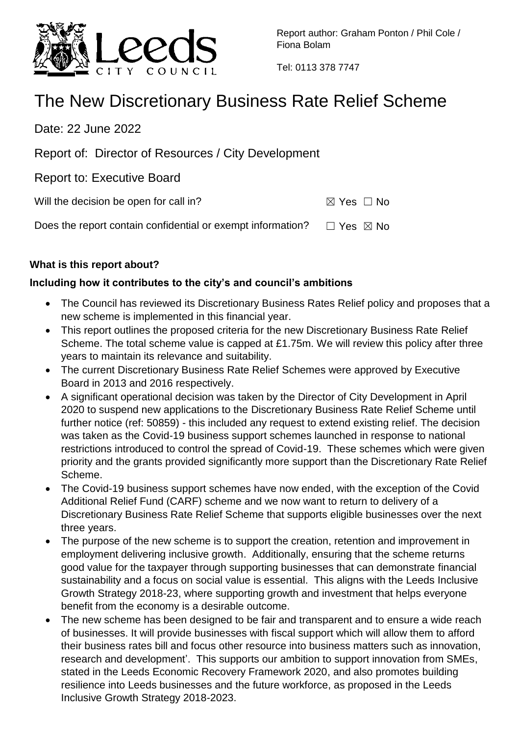

Report author: Graham Ponton / Phil Cole / Fiona Bolam

Tel: 0113 378 7747

# The New Discretionary Business Rate Relief Scheme

Date: 22 June 2022

Report of: Director of Resources / City Development

Report to: Executive Board

Will the decision be open for call in?  $\boxtimes$  Yes  $\Box$  No

Does the report contain confidential or exempt information?  $□$  Yes  $□$  No

## **What is this report about?**

## **Including how it contributes to the city's and council's ambitions**

- The Council has reviewed its Discretionary Business Rates Relief policy and proposes that a new scheme is implemented in this financial year.
- This report outlines the proposed criteria for the new Discretionary Business Rate Relief Scheme. The total scheme value is capped at £1.75m. We will review this policy after three years to maintain its relevance and suitability.
- The current Discretionary Business Rate Relief Schemes were approved by Executive Board in 2013 and 2016 respectively.
- A significant operational decision was taken by the Director of City Development in April 2020 to suspend new applications to the Discretionary Business Rate Relief Scheme until further notice (ref: 50859) - this included any request to extend existing relief. The decision was taken as the Covid-19 business support schemes launched in response to national restrictions introduced to control the spread of Covid-19. These schemes which were given priority and the grants provided significantly more support than the Discretionary Rate Relief Scheme.
- The Covid-19 business support schemes have now ended, with the exception of the Covid Additional Relief Fund (CARF) scheme and we now want to return to delivery of a Discretionary Business Rate Relief Scheme that supports eligible businesses over the next three years.
- The purpose of the new scheme is to support the creation, retention and improvement in employment delivering inclusive growth. Additionally, ensuring that the scheme returns good value for the taxpayer through supporting businesses that can demonstrate financial sustainability and a focus on social value is essential. This aligns with the Leeds Inclusive Growth Strategy 2018-23, where supporting growth and investment that helps everyone benefit from the economy is a desirable outcome.
- The new scheme has been designed to be fair and transparent and to ensure a wide reach of businesses. It will provide businesses with fiscal support which will allow them to afford their business rates bill and focus other resource into business matters such as innovation, research and development'. This supports our ambition to support innovation from SMEs, stated in the Leeds Economic Recovery Framework 2020, and also promotes building resilience into Leeds businesses and the future workforce, as proposed in the Leeds Inclusive Growth Strategy 2018-2023.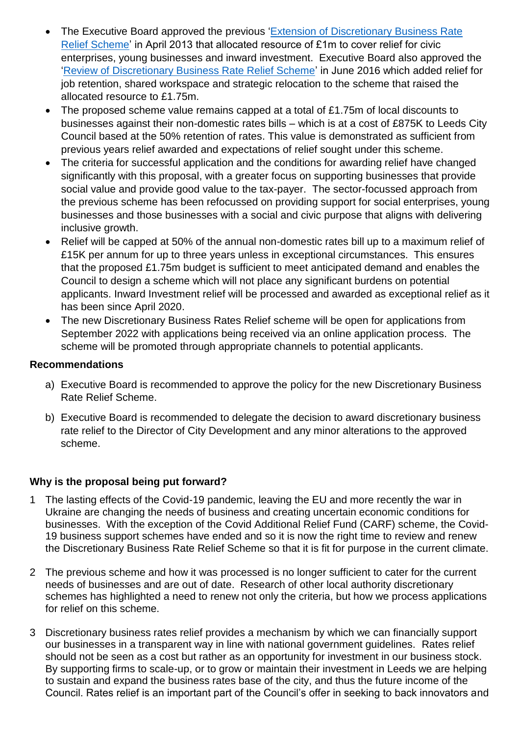- The Executive Board approved the previous ['Extension of Discretionary Business Rate](https://democracy.leeds.gov.uk/documents/s93329/Discretionary%20Businesss%20Rate%20Relief%20report%20150413.pdf)  [Relief Scheme'](https://democracy.leeds.gov.uk/documents/s93329/Discretionary%20Businesss%20Rate%20Relief%20report%20150413.pdf) in April 2013 that allocated resource of £1m to cover relief for civic enterprises, young businesses and inward investment. Executive Board also approved the ['Review of Discretionary Business Rate Relief Scheme'](https://democracy.leeds.gov.uk/documents/s147206/Discretionary%20Business%20Rates%20Releif%20090616.pdf) in June 2016 which added relief for job retention, shared workspace and strategic relocation to the scheme that raised the allocated resource to £1.75m.
- The proposed scheme value remains capped at a total of £1.75m of local discounts to businesses against their non-domestic rates bills – which is at a cost of £875K to Leeds City Council based at the 50% retention of rates. This value is demonstrated as sufficient from previous years relief awarded and expectations of relief sought under this scheme.
- The criteria for successful application and the conditions for awarding relief have changed significantly with this proposal, with a greater focus on supporting businesses that provide social value and provide good value to the tax-payer. The sector-focussed approach from the previous scheme has been refocussed on providing support for social enterprises, young businesses and those businesses with a social and civic purpose that aligns with delivering inclusive growth.
- Relief will be capped at 50% of the annual non-domestic rates bill up to a maximum relief of £15K per annum for up to three years unless in exceptional circumstances. This ensures that the proposed £1.75m budget is sufficient to meet anticipated demand and enables the Council to design a scheme which will not place any significant burdens on potential applicants. Inward Investment relief will be processed and awarded as exceptional relief as it has been since April 2020.
- The new Discretionary Business Rates Relief scheme will be open for applications from September 2022 with applications being received via an online application process. The scheme will be promoted through appropriate channels to potential applicants.

#### **Recommendations**

- a) Executive Board is recommended to approve the policy for the new Discretionary Business Rate Relief Scheme.
- b) Executive Board is recommended to delegate the decision to award discretionary business rate relief to the Director of City Development and any minor alterations to the approved scheme.

## **Why is the proposal being put forward?**

- 1 The lasting effects of the Covid-19 pandemic, leaving the EU and more recently the war in Ukraine are changing the needs of business and creating uncertain economic conditions for businesses. With the exception of the Covid Additional Relief Fund (CARF) scheme, the Covid-19 business support schemes have ended and so it is now the right time to review and renew the Discretionary Business Rate Relief Scheme so that it is fit for purpose in the current climate.
- 2 The previous scheme and how it was processed is no longer sufficient to cater for the current needs of businesses and are out of date. Research of other local authority discretionary schemes has highlighted a need to renew not only the criteria, but how we process applications for relief on this scheme.
- 3 Discretionary business rates relief provides a mechanism by which we can financially support our businesses in a transparent way in line with national government guidelines. Rates relief should not be seen as a cost but rather as an opportunity for investment in our business stock. By supporting firms to scale-up, or to grow or maintain their investment in Leeds we are helping to sustain and expand the business rates base of the city, and thus the future income of the Council. Rates relief is an important part of the Council's offer in seeking to back innovators and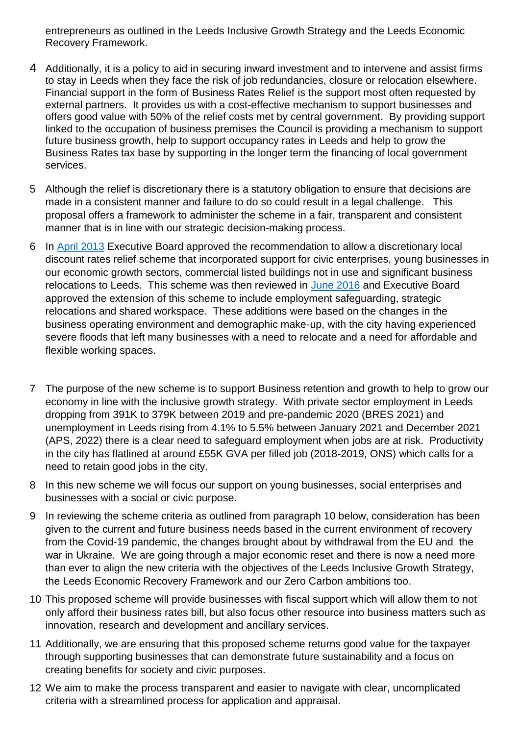entrepreneurs as outlined in the Leeds Inclusive Growth Strategy and the Leeds Economic Recovery Framework.

- 4 Additionally, it is a policy to aid in securing inward investment and to intervene and assist firms to stay in Leeds when they face the risk of job redundancies, closure or relocation elsewhere. Financial support in the form of Business Rates Relief is the support most often requested by external partners. It provides us with a cost-effective mechanism to support businesses and offers good value with 50% of the relief costs met by central government. By providing support linked to the occupation of business premises the Council is providing a mechanism to support future business growth, help to support occupancy rates in Leeds and help to grow the Business Rates tax base by supporting in the longer term the financing of local government services.
- 5 Although the relief is discretionary there is a statutory obligation to ensure that decisions are made in a consistent manner and failure to do so could result in a legal challenge. This proposal offers a framework to administer the scheme in a fair, transparent and consistent manner that is in line with our strategic decision-making process.
- 6 In [April 2013](https://democracy.leeds.gov.uk/documents/s93329/Discretionary%20Businesss%20Rate%20Relief%20report%20150413.pdf) Executive Board approved the recommendation to allow a discretionary local discount rates relief scheme that incorporated support for civic enterprises, young businesses in our economic growth sectors, commercial listed buildings not in use and significant business relocations to Leeds. This scheme was then reviewed in [June 2016](https://democracy.leeds.gov.uk/documents/s147206/Discretionary%20Business%20Rates%20Releif%20090616.pdf) and Executive Board approved the extension of this scheme to include employment safeguarding, strategic relocations and shared workspace. These additions were based on the changes in the business operating environment and demographic make-up, with the city having experienced severe floods that left many businesses with a need to relocate and a need for affordable and flexible working spaces.
- 7 The purpose of the new scheme is to support Business retention and growth to help to grow our economy in line with the inclusive growth strategy. With private sector employment in Leeds dropping from 391K to 379K between 2019 and pre-pandemic 2020 (BRES 2021) and unemployment in Leeds rising from 4.1% to 5.5% between January 2021 and December 2021 (APS, 2022) there is a clear need to safeguard employment when jobs are at risk. Productivity in the city has flatlined at around £55K GVA per filled job (2018-2019, ONS) which calls for a need to retain good jobs in the city.
- 8 In this new scheme we will focus our support on young businesses, social enterprises and businesses with a social or civic purpose.
- 9 In reviewing the scheme criteria as outlined from paragraph 10 below, consideration has been given to the current and future business needs based in the current environment of recovery from the Covid-19 pandemic, the changes brought about by withdrawal from the EU and the war in Ukraine. We are going through a major economic reset and there is now a need more than ever to align the new criteria with the objectives of the Leeds Inclusive Growth Strategy, the Leeds Economic Recovery Framework and our Zero Carbon ambitions too.
- 10 This proposed scheme will provide businesses with fiscal support which will allow them to not only afford their business rates bill, but also focus other resource into business matters such as innovation, research and development and ancillary services.
- 11 Additionally, we are ensuring that this proposed scheme returns good value for the taxpayer through supporting businesses that can demonstrate future sustainability and a focus on creating benefits for society and civic purposes.
- 12 We aim to make the process transparent and easier to navigate with clear, uncomplicated criteria with a streamlined process for application and appraisal.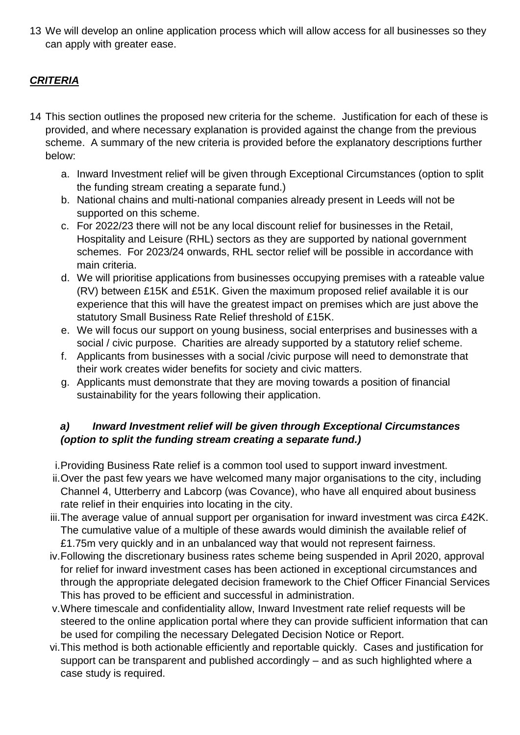13 We will develop an online application process which will allow access for all businesses so they can apply with greater ease.

# *CRITERIA*

- 14 This section outlines the proposed new criteria for the scheme. Justification for each of these is provided, and where necessary explanation is provided against the change from the previous scheme. A summary of the new criteria is provided before the explanatory descriptions further below:
	- a. Inward Investment relief will be given through Exceptional Circumstances (option to split the funding stream creating a separate fund.)
	- b. National chains and multi-national companies already present in Leeds will not be supported on this scheme.
	- c. For 2022/23 there will not be any local discount relief for businesses in the Retail, Hospitality and Leisure (RHL) sectors as they are supported by national government schemes. For 2023/24 onwards, RHL sector relief will be possible in accordance with main criteria.
	- d. We will prioritise applications from businesses occupying premises with a rateable value (RV) between £15K and £51K. Given the maximum proposed relief available it is our experience that this will have the greatest impact on premises which are just above the statutory Small Business Rate Relief threshold of £15K.
	- e. We will focus our support on young business, social enterprises and businesses with a social / civic purpose. Charities are already supported by a statutory relief scheme.
	- f. Applicants from businesses with a social /civic purpose will need to demonstrate that their work creates wider benefits for society and civic matters.
	- g. Applicants must demonstrate that they are moving towards a position of financial sustainability for the years following their application.

## *a) Inward Investment relief will be given through Exceptional Circumstances (option to split the funding stream creating a separate fund.)*

i.Providing Business Rate relief is a common tool used to support inward investment.

- ii.Over the past few years we have welcomed many major organisations to the city, including Channel 4, Utterberry and Labcorp (was Covance), who have all enquired about business rate relief in their enquiries into locating in the city.
- iii.The average value of annual support per organisation for inward investment was circa £42K. The cumulative value of a multiple of these awards would diminish the available relief of £1.75m very quickly and in an unbalanced way that would not represent fairness.
- iv.Following the discretionary business rates scheme being suspended in April 2020, approval for relief for inward investment cases has been actioned in exceptional circumstances and through the appropriate delegated decision framework to the Chief Officer Financial Services This has proved to be efficient and successful in administration.
- v.Where timescale and confidentiality allow, Inward Investment rate relief requests will be steered to the online application portal where they can provide sufficient information that can be used for compiling the necessary Delegated Decision Notice or Report.
- vi.This method is both actionable efficiently and reportable quickly. Cases and justification for support can be transparent and published accordingly – and as such highlighted where a case study is required.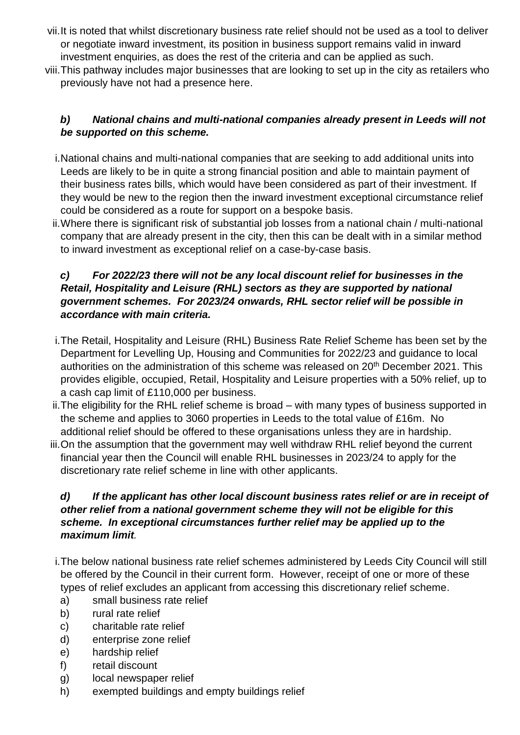- vii.It is noted that whilst discretionary business rate relief should not be used as a tool to deliver or negotiate inward investment, its position in business support remains valid in inward investment enquiries, as does the rest of the criteria and can be applied as such.
- viii.This pathway includes major businesses that are looking to set up in the city as retailers who previously have not had a presence here.

## *b) National chains and multi-national companies already present in Leeds will not be supported on this scheme.*

- i.National chains and multi-national companies that are seeking to add additional units into Leeds are likely to be in quite a strong financial position and able to maintain payment of their business rates bills, which would have been considered as part of their investment. If they would be new to the region then the inward investment exceptional circumstance relief could be considered as a route for support on a bespoke basis.
- ii.Where there is significant risk of substantial job losses from a national chain / multi-national company that are already present in the city, then this can be dealt with in a similar method to inward investment as exceptional relief on a case-by-case basis.

#### *c) For 2022/23 there will not be any local discount relief for businesses in the Retail, Hospitality and Leisure (RHL) sectors as they are supported by national government schemes. For 2023/24 onwards, RHL sector relief will be possible in accordance with main criteria.*

- i.The Retail, Hospitality and Leisure (RHL) Business Rate Relief Scheme has been set by the Department for Levelling Up, Housing and Communities for 2022/23 and guidance to local authorities on the administration of this scheme was released on 20<sup>th</sup> December 2021. This provides eligible, occupied, Retail, Hospitality and Leisure properties with a 50% relief, up to a cash cap limit of £110,000 per business.
- ii.The eligibility for the RHL relief scheme is broad with many types of business supported in the scheme and applies to 3060 properties in Leeds to the total value of £16m. No additional relief should be offered to these organisations unless they are in hardship.
- iii.On the assumption that the government may well withdraw RHL relief beyond the current financial year then the Council will enable RHL businesses in 2023/24 to apply for the discretionary rate relief scheme in line with other applicants.

## *d) If the applicant has other local discount business rates relief or are in receipt of other relief from a national government scheme they will not be eligible for this scheme. In exceptional circumstances further relief may be applied up to the maximum limit.*

- i.The below national business rate relief schemes administered by Leeds City Council will still be offered by the Council in their current form. However, receipt of one or more of these types of relief excludes an applicant from accessing this discretionary relief scheme.
	- a) small business rate relief
	- b) rural rate relief
	- c) charitable rate relief
	- d) enterprise zone relief
	- e) hardship relief
- f) retail discount
- g) local newspaper relief
- h) exempted buildings and empty buildings relief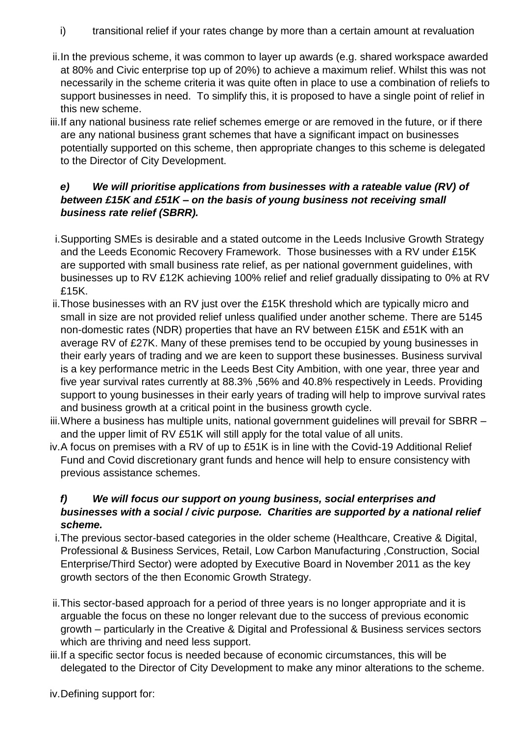i) transitional relief if your rates change by more than a certain amount at revaluation

- ii.In the previous scheme, it was common to layer up awards (e.g. shared workspace awarded at 80% and Civic enterprise top up of 20%) to achieve a maximum relief. Whilst this was not necessarily in the scheme criteria it was quite often in place to use a combination of reliefs to support businesses in need. To simplify this, it is proposed to have a single point of relief in this new scheme.
- iii.If any national business rate relief schemes emerge or are removed in the future, or if there are any national business grant schemes that have a significant impact on businesses potentially supported on this scheme, then appropriate changes to this scheme is delegated to the Director of City Development.

## *e) We will prioritise applications from businesses with a rateable value (RV) of between £15K and £51K – on the basis of young business not receiving small business rate relief (SBRR).*

- i.Supporting SMEs is desirable and a stated outcome in the Leeds Inclusive Growth Strategy and the Leeds Economic Recovery Framework. Those businesses with a RV under £15K are supported with small business rate relief, as per national government guidelines, with businesses up to RV £12K achieving 100% relief and relief gradually dissipating to 0% at RV £15K.
- ii.Those businesses with an RV just over the £15K threshold which are typically micro and small in size are not provided relief unless qualified under another scheme. There are 5145 non-domestic rates (NDR) properties that have an RV between £15K and £51K with an average RV of £27K. Many of these premises tend to be occupied by young businesses in their early years of trading and we are keen to support these businesses. Business survival is a key performance metric in the Leeds Best City Ambition, with one year, three year and five year survival rates currently at 88.3% ,56% and 40.8% respectively in Leeds. Providing support to young businesses in their early years of trading will help to improve survival rates and business growth at a critical point in the business growth cycle.
- iii. Where a business has multiple units, national government guidelines will prevail for SBRR and the upper limit of RV £51K will still apply for the total value of all units.
- iv.A focus on premises with a RV of up to £51K is in line with the Covid-19 Additional Relief Fund and Covid discretionary grant funds and hence will help to ensure consistency with previous assistance schemes.

## *f) We will focus our support on young business, social enterprises and businesses with a social / civic purpose. Charities are supported by a national relief scheme.*

- i.The previous sector-based categories in the older scheme (Healthcare, Creative & Digital, Professional & Business Services, Retail, Low Carbon Manufacturing ,Construction, Social Enterprise/Third Sector) were adopted by Executive Board in November 2011 as the key growth sectors of the then Economic Growth Strategy.
- ii.This sector-based approach for a period of three years is no longer appropriate and it is arguable the focus on these no longer relevant due to the success of previous economic growth – particularly in the Creative & Digital and Professional & Business services sectors which are thriving and need less support.
- iii.If a specific sector focus is needed because of economic circumstances, this will be delegated to the Director of City Development to make any minor alterations to the scheme.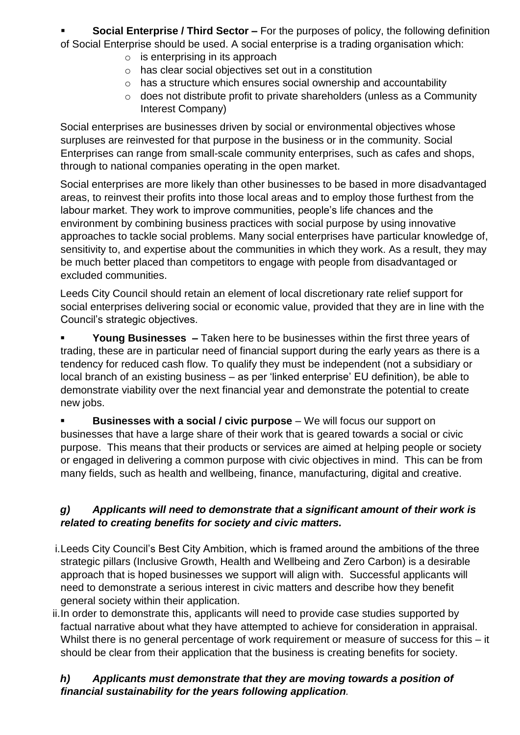**Social Enterprise / Third Sector –** For the purposes of policy, the following definition of Social Enterprise should be used. A social enterprise is a trading organisation which:

- $\circ$  is enterprising in its approach
- o has clear social objectives set out in a constitution
- o has a structure which ensures social ownership and accountability
- o does not distribute profit to private shareholders (unless as a Community Interest Company)

Social enterprises are businesses driven by social or environmental objectives whose surpluses are reinvested for that purpose in the business or in the community. Social Enterprises can range from small-scale community enterprises, such as cafes and shops, through to national companies operating in the open market.

Social enterprises are more likely than other businesses to be based in more disadvantaged areas, to reinvest their profits into those local areas and to employ those furthest from the labour market. They work to improve communities, people's life chances and the environment by combining business practices with social purpose by using innovative approaches to tackle social problems. Many social enterprises have particular knowledge of, sensitivity to, and expertise about the communities in which they work. As a result, they may be much better placed than competitors to engage with people from disadvantaged or excluded communities.

Leeds City Council should retain an element of local discretionary rate relief support for social enterprises delivering social or economic value, provided that they are in line with the Council's strategic objectives.

 **Young Businesses –** Taken here to be businesses within the first three years of trading, these are in particular need of financial support during the early years as there is a tendency for reduced cash flow. To qualify they must be independent (not a subsidiary or local branch of an existing business – as per 'linked enterprise' EU definition), be able to demonstrate viability over the next financial year and demonstrate the potential to create new jobs.

 **Businesses with a social / civic purpose** – We will focus our support on businesses that have a large share of their work that is geared towards a social or civic purpose. This means that their products or services are aimed at helping people or society or engaged in delivering a common purpose with civic objectives in mind. This can be from many fields, such as health and wellbeing, finance, manufacturing, digital and creative.

## *g) Applicants will need to demonstrate that a significant amount of their work is related to creating benefits for society and civic matters.*

- i.Leeds City Council's Best City Ambition, which is framed around the ambitions of the three strategic pillars (Inclusive Growth, Health and Wellbeing and Zero Carbon) is a desirable approach that is hoped businesses we support will align with. Successful applicants will need to demonstrate a serious interest in civic matters and describe how they benefit general society within their application.
- ii.In order to demonstrate this, applicants will need to provide case studies supported by factual narrative about what they have attempted to achieve for consideration in appraisal. Whilst there is no general percentage of work requirement or measure of success for this – it should be clear from their application that the business is creating benefits for society.

## *h) Applicants must demonstrate that they are moving towards a position of financial sustainability for the years following application.*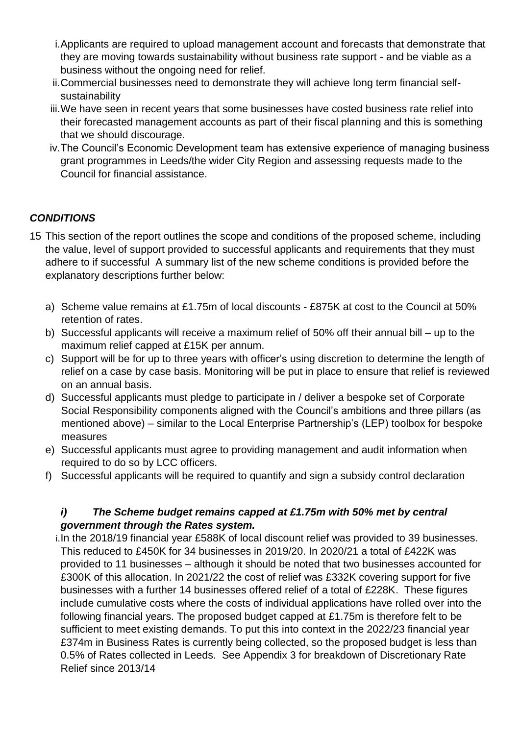- i.Applicants are required to upload management account and forecasts that demonstrate that they are moving towards sustainability without business rate support - and be viable as a business without the ongoing need for relief.
- ii.Commercial businesses need to demonstrate they will achieve long term financial selfsustainability
- iii.We have seen in recent years that some businesses have costed business rate relief into their forecasted management accounts as part of their fiscal planning and this is something that we should discourage.
- iv.The Council's Economic Development team has extensive experience of managing business grant programmes in Leeds/the wider City Region and assessing requests made to the Council for financial assistance.

## *CONDITIONS*

- 15 This section of the report outlines the scope and conditions of the proposed scheme, including the value, level of support provided to successful applicants and requirements that they must adhere to if successful A summary list of the new scheme conditions is provided before the explanatory descriptions further below:
	- a) Scheme value remains at £1.75m of local discounts £875K at cost to the Council at 50% retention of rates.
	- b) Successful applicants will receive a maximum relief of 50% off their annual bill up to the maximum relief capped at £15K per annum.
	- c) Support will be for up to three years with officer's using discretion to determine the length of relief on a case by case basis. Monitoring will be put in place to ensure that relief is reviewed on an annual basis.
	- d) Successful applicants must pledge to participate in / deliver a bespoke set of Corporate Social Responsibility components aligned with the Council's ambitions and three pillars (as mentioned above) – similar to the Local Enterprise Partnership's (LEP) toolbox for bespoke measures
	- e) Successful applicants must agree to providing management and audit information when required to do so by LCC officers.
	- f) Successful applicants will be required to quantify and sign a subsidy control declaration

#### *i) The Scheme budget remains capped at £1.75m with 50% met by central government through the Rates system.*

i.In the 2018/19 financial year £588K of local discount relief was provided to 39 businesses. This reduced to £450K for 34 businesses in 2019/20. In 2020/21 a total of £422K was provided to 11 businesses – although it should be noted that two businesses accounted for £300K of this allocation. In 2021/22 the cost of relief was £332K covering support for five businesses with a further 14 businesses offered relief of a total of £228K. These figures include cumulative costs where the costs of individual applications have rolled over into the following financial years. The proposed budget capped at £1.75m is therefore felt to be sufficient to meet existing demands. To put this into context in the 2022/23 financial year £374m in Business Rates is currently being collected, so the proposed budget is less than 0.5% of Rates collected in Leeds. See Appendix 3 for breakdown of Discretionary Rate Relief since 2013/14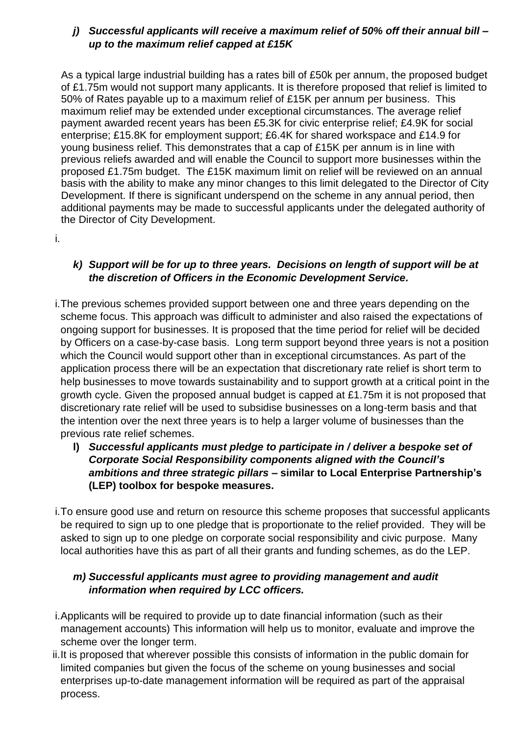#### *j) Successful applicants will receive a maximum relief of 50% off their annual bill – up to the maximum relief capped at £15K*

As a typical large industrial building has a rates bill of £50k per annum, the proposed budget of £1.75m would not support many applicants. It is therefore proposed that relief is limited to 50% of Rates payable up to a maximum relief of £15K per annum per business. This maximum relief may be extended under exceptional circumstances. The average relief payment awarded recent years has been £5.3K for civic enterprise relief; £4.9K for social enterprise; £15.8K for employment support; £6.4K for shared workspace and £14.9 for young business relief. This demonstrates that a cap of £15K per annum is in line with previous reliefs awarded and will enable the Council to support more businesses within the proposed £1.75m budget. The £15K maximum limit on relief will be reviewed on an annual basis with the ability to make any minor changes to this limit delegated to the Director of City Development. If there is significant underspend on the scheme in any annual period, then additional payments may be made to successful applicants under the delegated authority of the Director of City Development.

i.

#### *k) Support will be for up to three years. Decisions on length of support will be at the discretion of Officers in the Economic Development Service.*

- i.The previous schemes provided support between one and three years depending on the scheme focus. This approach was difficult to administer and also raised the expectations of ongoing support for businesses. It is proposed that the time period for relief will be decided by Officers on a case-by-case basis. Long term support beyond three years is not a position which the Council would support other than in exceptional circumstances. As part of the application process there will be an expectation that discretionary rate relief is short term to help businesses to move towards sustainability and to support growth at a critical point in the growth cycle. Given the proposed annual budget is capped at £1.75m it is not proposed that discretionary rate relief will be used to subsidise businesses on a long-term basis and that the intention over the next three years is to help a larger volume of businesses than the previous rate relief schemes.
	- **l)** *Successful applicants must pledge to participate in / deliver a bespoke set of Corporate Social Responsibility components aligned with the Council's ambitions and three strategic pillars* **– similar to Local Enterprise Partnership's (LEP) toolbox for bespoke measures.**
- i.To ensure good use and return on resource this scheme proposes that successful applicants be required to sign up to one pledge that is proportionate to the relief provided. They will be asked to sign up to one pledge on corporate social responsibility and civic purpose. Many local authorities have this as part of all their grants and funding schemes, as do the LEP.

#### *m) Successful applicants must agree to providing management and audit information when required by LCC officers.*

- i.Applicants will be required to provide up to date financial information (such as their management accounts) This information will help us to monitor, evaluate and improve the scheme over the longer term.
- ii.It is proposed that wherever possible this consists of information in the public domain for limited companies but given the focus of the scheme on young businesses and social enterprises up-to-date management information will be required as part of the appraisal process.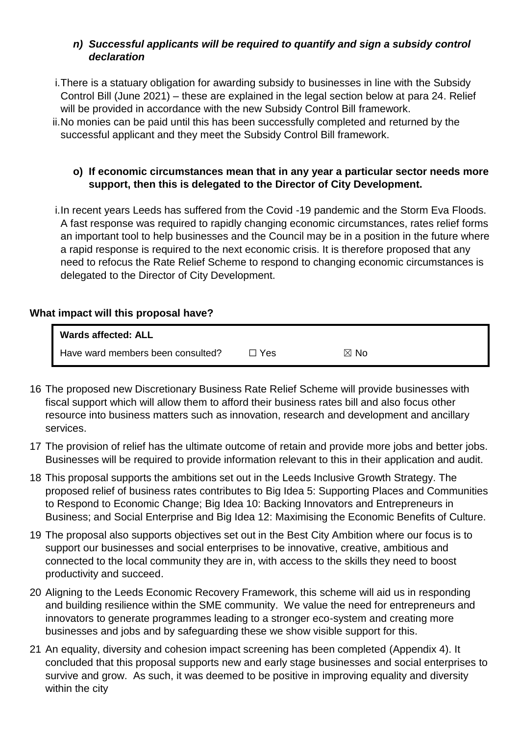#### *n) Successful applicants will be required to quantify and sign a subsidy control declaration*

- i.There is a statuary obligation for awarding subsidy to businesses in line with the Subsidy Control Bill (June 2021) – these are explained in the legal section below at para 24. Relief will be provided in accordance with the new Subsidy Control Bill framework.
- ii.No monies can be paid until this has been successfully completed and returned by the successful applicant and they meet the Subsidy Control Bill framework.

#### **o) If economic circumstances mean that in any year a particular sector needs more support, then this is delegated to the Director of City Development.**

i.In recent years Leeds has suffered from the Covid -19 pandemic and the Storm Eva Floods. A fast response was required to rapidly changing economic circumstances, rates relief forms an important tool to help businesses and the Council may be in a position in the future where a rapid response is required to the next economic crisis. It is therefore proposed that any need to refocus the Rate Relief Scheme to respond to changing economic circumstances is delegated to the Director of City Development.

## **What impact will this proposal have?**

| Wards affected: ALL               |       |                |
|-----------------------------------|-------|----------------|
| Have ward members been consulted? | コ Yes | $\boxtimes$ No |

- 16 The proposed new Discretionary Business Rate Relief Scheme will provide businesses with fiscal support which will allow them to afford their business rates bill and also focus other resource into business matters such as innovation, research and development and ancillary services.
- 17 The provision of relief has the ultimate outcome of retain and provide more jobs and better jobs. Businesses will be required to provide information relevant to this in their application and audit.
- 18 This proposal supports the ambitions set out in the Leeds Inclusive Growth Strategy. The proposed relief of business rates contributes to Big Idea 5: Supporting Places and Communities to Respond to Economic Change; Big Idea 10: Backing Innovators and Entrepreneurs in Business; and Social Enterprise and Big Idea 12: Maximising the Economic Benefits of Culture.
- 19 The proposal also supports objectives set out in the Best City Ambition where our focus is to support our businesses and social enterprises to be innovative, creative, ambitious and connected to the local community they are in, with access to the skills they need to boost productivity and succeed.
- 20 Aligning to the Leeds Economic Recovery Framework, this scheme will aid us in responding and building resilience within the SME community. We value the need for entrepreneurs and innovators to generate programmes leading to a stronger eco-system and creating more businesses and jobs and by safeguarding these we show visible support for this.
- 21 An equality, diversity and cohesion impact screening has been completed (Appendix 4). It concluded that this proposal supports new and early stage businesses and social enterprises to survive and grow. As such, it was deemed to be positive in improving equality and diversity within the city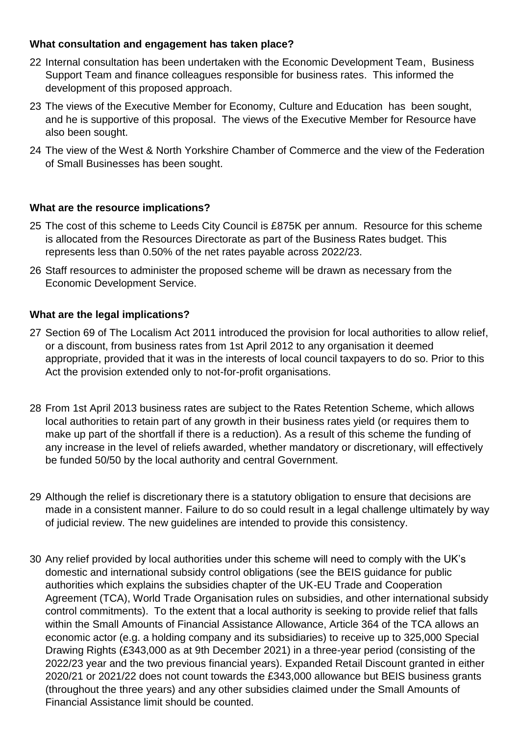#### **What consultation and engagement has taken place?**

- 22 Internal consultation has been undertaken with the Economic Development Team, Business Support Team and finance colleagues responsible for business rates. This informed the development of this proposed approach.
- 23 The views of the Executive Member for Economy, Culture and Education has been sought, and he is supportive of this proposal. The views of the Executive Member for Resource have also been sought.
- 24 The view of the West & North Yorkshire Chamber of Commerce and the view of the Federation of Small Businesses has been sought.

## **What are the resource implications?**

- 25 The cost of this scheme to Leeds City Council is £875K per annum. Resource for this scheme is allocated from the Resources Directorate as part of the Business Rates budget. This represents less than 0.50% of the net rates payable across 2022/23.
- 26 Staff resources to administer the proposed scheme will be drawn as necessary from the Economic Development Service.

## **What are the legal implications?**

- 27 Section 69 of The Localism Act 2011 introduced the provision for local authorities to allow relief, or a discount, from business rates from 1st April 2012 to any organisation it deemed appropriate, provided that it was in the interests of local council taxpayers to do so. Prior to this Act the provision extended only to not-for-profit organisations.
- 28 From 1st April 2013 business rates are subject to the Rates Retention Scheme, which allows local authorities to retain part of any growth in their business rates yield (or requires them to make up part of the shortfall if there is a reduction). As a result of this scheme the funding of any increase in the level of reliefs awarded, whether mandatory or discretionary, will effectively be funded 50/50 by the local authority and central Government.
- 29 Although the relief is discretionary there is a statutory obligation to ensure that decisions are made in a consistent manner. Failure to do so could result in a legal challenge ultimately by way of judicial review. The new guidelines are intended to provide this consistency.
- 30 Any relief provided by local authorities under this scheme will need to comply with the UK's domestic and international subsidy control obligations (see the BEIS guidance for public authorities which explains the subsidies chapter of the UK-EU Trade and Cooperation Agreement (TCA), World Trade Organisation rules on subsidies, and other international subsidy control commitments). To the extent that a local authority is seeking to provide relief that falls within the Small Amounts of Financial Assistance Allowance, Article 364 of the TCA allows an economic actor (e.g. a holding company and its subsidiaries) to receive up to 325,000 Special Drawing Rights (£343,000 as at 9th December 2021) in a three-year period (consisting of the 2022/23 year and the two previous financial years). Expanded Retail Discount granted in either 2020/21 or 2021/22 does not count towards the £343,000 allowance but BEIS business grants (throughout the three years) and any other subsidies claimed under the Small Amounts of Financial Assistance limit should be counted.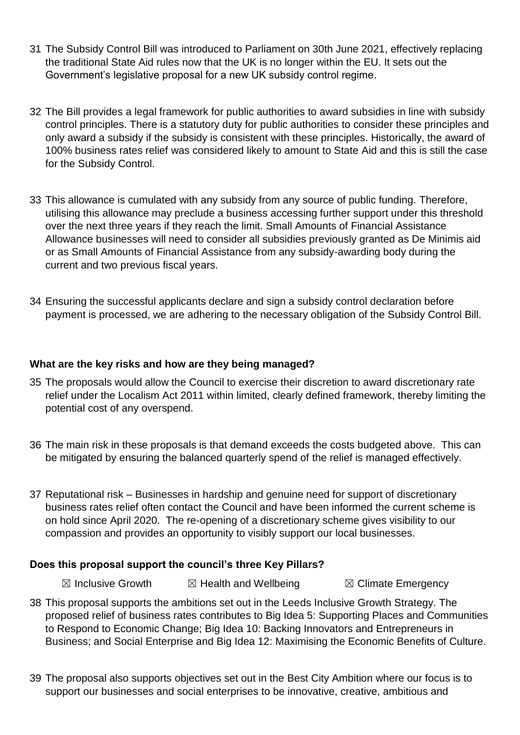- 31 The Subsidy Control Bill was introduced to Parliament on 30th June 2021, effectively replacing the traditional State Aid rules now that the UK is no longer within the EU. It sets out the Government's legislative proposal for a new UK subsidy control regime.
- 32 The Bill provides a legal framework for public authorities to award subsidies in line with subsidy control principles. There is a statutory duty for public authorities to consider these principles and only award a subsidy if the subsidy is consistent with these principles. Historically, the award of 100% business rates relief was considered likely to amount to State Aid and this is still the case for the Subsidy Control.
- 33 This allowance is cumulated with any subsidy from any source of public funding. Therefore, utilising this allowance may preclude a business accessing further support under this threshold over the next three years if they reach the limit. Small Amounts of Financial Assistance Allowance businesses will need to consider all subsidies previously granted as De Minimis aid or as Small Amounts of Financial Assistance from any subsidy-awarding body during the current and two previous fiscal years.
- 34 Ensuring the successful applicants declare and sign a subsidy control declaration before payment is processed, we are adhering to the necessary obligation of the Subsidy Control Bill.

#### **What are the key risks and how are they being managed?**

- 35 The proposals would allow the Council to exercise their discretion to award discretionary rate relief under the Localism Act 2011 within limited, clearly defined framework, thereby limiting the potential cost of any overspend.
- 36 The main risk in these proposals is that demand exceeds the costs budgeted above. This can be mitigated by ensuring the balanced quarterly spend of the relief is managed effectively.
- 37 Reputational risk Businesses in hardship and genuine need for support of discretionary business rates relief often contact the Council and have been informed the current scheme is on hold since April 2020. The re-opening of a discretionary scheme gives visibility to our compassion and provides an opportunity to visibly support our local businesses.

#### **Does this proposal support the council's three Key Pillars?**

 $\boxtimes$  Inclusive Growth  $\boxtimes$  Health and Wellbeing  $\boxtimes$  Climate Emergency

- 38 This proposal supports the ambitions set out in the Leeds Inclusive Growth Strategy. The proposed relief of business rates contributes to Big Idea 5: Supporting Places and Communities to Respond to Economic Change; Big Idea 10: Backing Innovators and Entrepreneurs in Business; and Social Enterprise and Big Idea 12: Maximising the Economic Benefits of Culture.
- 39 The proposal also supports objectives set out in the Best City Ambition where our focus is to support our businesses and social enterprises to be innovative, creative, ambitious and